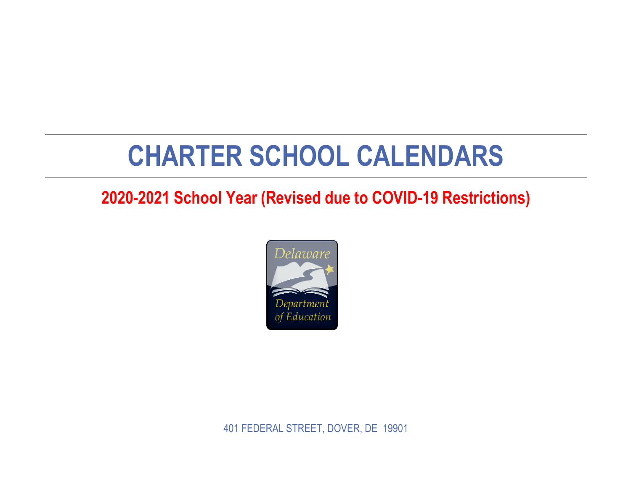## **CHARTER SCHOOL CALENDARS**

## **2020-2021 School Year (Revised due to COVID-19 Restrictions)**



401 FEDERAL STREET, DOVER, DE 19901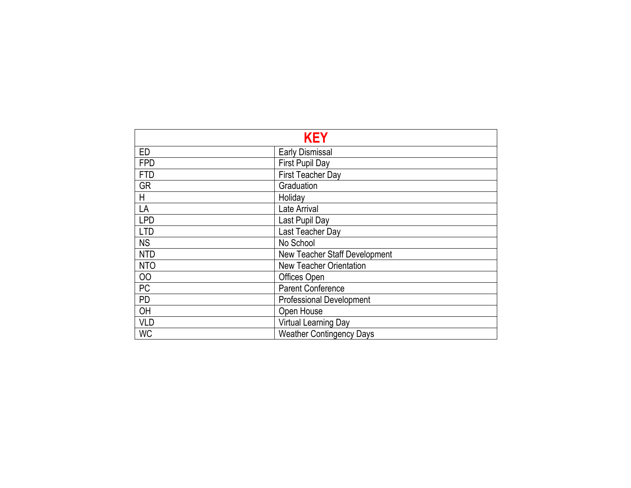|            | <b>KEY</b>                      |
|------------|---------------------------------|
| ED         | <b>Early Dismissal</b>          |
| <b>FPD</b> | First Pupil Day                 |
| <b>FTD</b> | First Teacher Day               |
| <b>GR</b>  | Graduation                      |
| H          | Holiday                         |
| LA         | Late Arrival                    |
| <b>LPD</b> | Last Pupil Day                  |
| <b>LTD</b> | Last Teacher Day                |
| <b>NS</b>  | No School                       |
| <b>NTD</b> | New Teacher Staff Development   |
| <b>NTO</b> | <b>New Teacher Orientation</b>  |
| 00         | Offices Open                    |
| PC         | Parent Conference               |
| <b>PD</b>  | <b>Professional Development</b> |
| OH         | Open House                      |
| <b>VLD</b> | Virtual Learning Day            |
| <b>WC</b>  | <b>Weather Contingency Days</b> |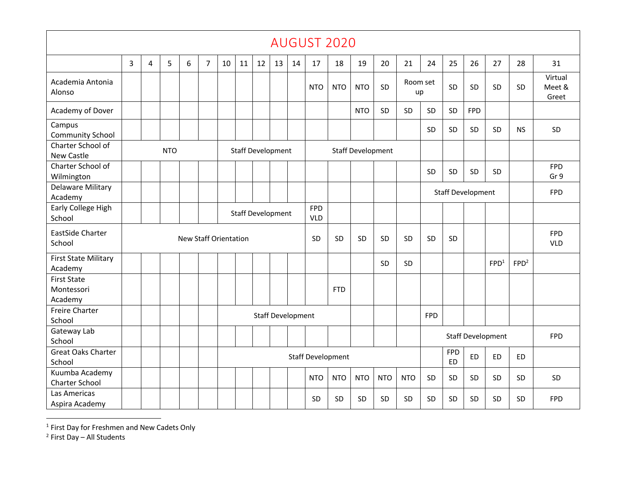|                                             |   |                |            |                              |                |    |                          |                          |    |    |                          | <b>AUGUST 2020</b>       |                          |            |                |            |                         |                          |                          |                  |                            |
|---------------------------------------------|---|----------------|------------|------------------------------|----------------|----|--------------------------|--------------------------|----|----|--------------------------|--------------------------|--------------------------|------------|----------------|------------|-------------------------|--------------------------|--------------------------|------------------|----------------------------|
|                                             | 3 | $\overline{4}$ | 5          | 6                            | $\overline{7}$ | 10 | 11                       | 12                       | 13 | 14 | 17                       | 18                       | 19                       | 20         | 21             | 24         | 25                      | 26                       | 27                       | 28               | 31                         |
| Academia Antonia<br>Alonso                  |   |                |            |                              |                |    |                          |                          |    |    | <b>NTO</b>               | <b>NTO</b>               | <b>NTO</b>               | SD         | Room set<br>up |            | SD                      | SD                       | SD                       | SD               | Virtual<br>Meet &<br>Greet |
| Academy of Dover                            |   |                |            |                              |                |    |                          |                          |    |    |                          |                          | <b>NTO</b>               | <b>SD</b>  | SD             | SD         | SD.                     | <b>FPD</b>               |                          |                  |                            |
| Campus<br><b>Community School</b>           |   |                |            |                              |                |    |                          |                          |    |    |                          |                          |                          |            |                | SD         | SD                      | SD                       | SD.                      | <b>NS</b>        | SD                         |
| Charter School of<br>New Castle             |   |                | <b>NTO</b> |                              |                |    | <b>Staff Development</b> |                          |    |    |                          |                          | <b>Staff Development</b> |            |                |            |                         |                          |                          |                  |                            |
| Charter School of<br>Wilmington             |   |                |            |                              |                |    |                          |                          |    |    |                          |                          |                          |            |                | SD         | SD                      | SD                       | SD.                      |                  | <b>FPD</b><br>Gr 9         |
| Delaware Military<br>Academy                |   |                |            |                              |                |    |                          |                          |    |    |                          |                          |                          |            |                |            |                         | <b>Staff Development</b> |                          |                  | <b>FPD</b>                 |
| Early College High<br>School                |   |                |            |                              |                |    | <b>Staff Development</b> |                          |    |    | <b>FPD</b><br><b>VLD</b> |                          |                          |            |                |            |                         |                          |                          |                  |                            |
| EastSide Charter<br>School                  |   |                |            | <b>New Staff Orientation</b> |                |    |                          |                          |    |    | SD                       | SD                       | SD                       | SD         | <b>SD</b>      | SD         | SD                      |                          |                          |                  | <b>FPD</b><br><b>VLD</b>   |
| <b>First State Military</b><br>Academy      |   |                |            |                              |                |    |                          |                          |    |    |                          |                          |                          | <b>SD</b>  | SD             |            |                         |                          | FPD <sup>1</sup>         | FPD <sup>2</sup> |                            |
| <b>First State</b><br>Montessori<br>Academy |   |                |            |                              |                |    |                          |                          |    |    |                          | <b>FTD</b>               |                          |            |                |            |                         |                          |                          |                  |                            |
| <b>Freire Charter</b><br>School             |   |                |            |                              |                |    |                          | <b>Staff Development</b> |    |    |                          |                          |                          |            |                | <b>FPD</b> |                         |                          |                          |                  |                            |
| Gateway Lab<br>School                       |   |                |            |                              |                |    |                          |                          |    |    |                          |                          |                          |            |                |            |                         |                          | <b>Staff Development</b> |                  | <b>FPD</b>                 |
| <b>Great Oaks Charter</b><br>School         |   |                |            |                              |                |    |                          |                          |    |    |                          | <b>Staff Development</b> |                          |            |                |            | <b>FPD</b><br><b>ED</b> | <b>ED</b>                | <b>ED</b>                | <b>ED</b>        |                            |
| Kuumba Academy<br>Charter School            |   |                |            |                              |                |    |                          |                          |    |    | <b>NTO</b>               | <b>NTO</b>               | <b>NTO</b>               | <b>NTO</b> | <b>NTO</b>     | SD         | SD                      | SD                       | SD                       | SD               | SD                         |
| Las Americas<br>Aspira Academy              |   |                |            |                              |                |    |                          |                          |    |    | SD                       | <b>SD</b>                | SD                       | SD         | SD             | SD         | SD                      | SD                       | SD.                      | SD               | <b>FPD</b>                 |

 $<sup>1</sup>$  First Day for Freshmen and New Cadets Only</sup>

<sup>&</sup>lt;sup>2</sup> First Day – All Students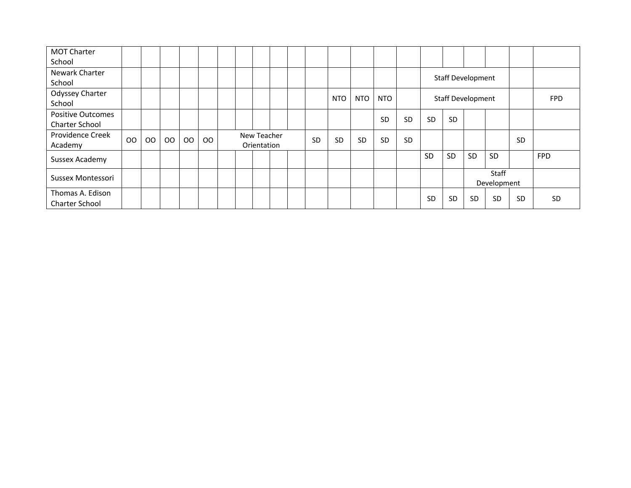| <b>MOT Charter</b>    |    |    |               |    |    |  |             |  |           |            |            |           |           |           |                          |           |             |           |            |
|-----------------------|----|----|---------------|----|----|--|-------------|--|-----------|------------|------------|-----------|-----------|-----------|--------------------------|-----------|-------------|-----------|------------|
| School                |    |    |               |    |    |  |             |  |           |            |            |           |           |           |                          |           |             |           |            |
| Newark Charter        |    |    |               |    |    |  |             |  |           |            |            |           |           |           | <b>Staff Development</b> |           |             |           |            |
| School                |    |    |               |    |    |  |             |  |           |            |            |           |           |           |                          |           |             |           |            |
| Odyssey Charter       |    |    |               |    |    |  |             |  |           | <b>NTO</b> | <b>NTO</b> | NTO       |           |           | Staff Development        |           |             |           | <b>FPD</b> |
| School                |    |    |               |    |    |  |             |  |           |            |            |           |           |           |                          |           |             |           |            |
| Positive Outcomes     |    |    |               |    |    |  |             |  |           |            |            | <b>SD</b> | <b>SD</b> | <b>SD</b> | <b>SD</b>                |           |             |           |            |
| <b>Charter School</b> |    |    |               |    |    |  |             |  |           |            |            |           |           |           |                          |           |             |           |            |
| Providence Creek      | OO |    | <sub>00</sub> | 00 |    |  | New Teacher |  | <b>SD</b> | <b>SD</b>  | <b>SD</b>  | <b>SD</b> | <b>SD</b> |           |                          |           |             | SD        |            |
| Academy               |    | OO |               |    | OO |  | Orientation |  |           |            |            |           |           |           |                          |           |             |           |            |
| Sussex Academy        |    |    |               |    |    |  |             |  |           |            |            |           |           | SD        | <b>SD</b>                | SD        | SD          |           | <b>FPD</b> |
|                       |    |    |               |    |    |  |             |  |           |            |            |           |           |           |                          |           |             |           |            |
| Sussex Montessori     |    |    |               |    |    |  |             |  |           |            |            |           |           |           |                          |           | Staff       |           |            |
|                       |    |    |               |    |    |  |             |  |           |            |            |           |           |           |                          |           | Development |           |            |
| Thomas A. Edison      |    |    |               |    |    |  |             |  |           |            |            |           |           | <b>SD</b> | <b>SD</b>                | <b>SD</b> | <b>SD</b>   | <b>SD</b> | <b>SD</b>  |
| Charter School        |    |    |               |    |    |  |             |  |           |            |            |           |           |           |                          |           |             |           |            |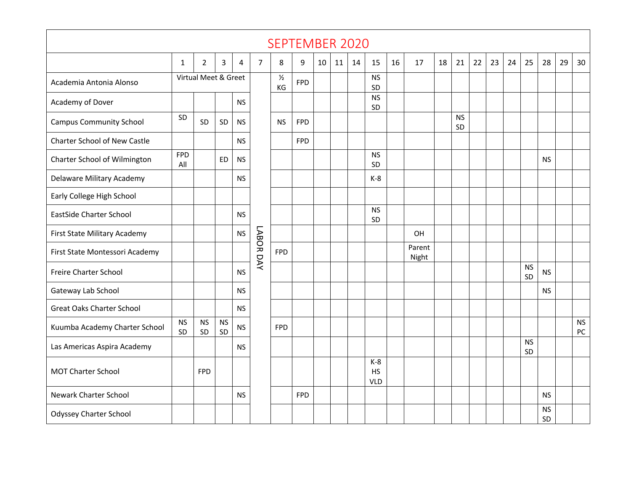|                                     |                   |                      |                 |           |           | <b>SEPTEMBER 2020</b> |            |    |    |    |                                  |    |                 |    |                 |    |    |    |                 |                 |    |                 |
|-------------------------------------|-------------------|----------------------|-----------------|-----------|-----------|-----------------------|------------|----|----|----|----------------------------------|----|-----------------|----|-----------------|----|----|----|-----------------|-----------------|----|-----------------|
|                                     | $\mathbf{1}$      | 2                    | 3               | 4         | 7         | 8                     | 9          | 10 | 11 | 14 | 15                               | 16 | 17              | 18 | 21              | 22 | 23 | 24 | 25              | 28              | 29 | 30              |
| Academia Antonia Alonso             |                   | Virtual Meet & Greet |                 |           |           | $\frac{1}{2}$<br>KG   | <b>FPD</b> |    |    |    | <b>NS</b><br>SD                  |    |                 |    |                 |    |    |    |                 |                 |    |                 |
| Academy of Dover                    |                   |                      |                 | <b>NS</b> |           |                       |            |    |    |    | <b>NS</b><br>SD                  |    |                 |    |                 |    |    |    |                 |                 |    |                 |
| <b>Campus Community School</b>      | SD                | SD                   | SD              | <b>NS</b> |           | <b>NS</b>             | <b>FPD</b> |    |    |    |                                  |    |                 |    | <b>NS</b><br>SD |    |    |    |                 |                 |    |                 |
| <b>Charter School of New Castle</b> |                   |                      |                 | <b>NS</b> |           |                       | <b>FPD</b> |    |    |    |                                  |    |                 |    |                 |    |    |    |                 |                 |    |                 |
| Charter School of Wilmington        | <b>FPD</b><br>All |                      | <b>ED</b>       | <b>NS</b> |           |                       |            |    |    |    | <b>NS</b><br>SD                  |    |                 |    |                 |    |    |    |                 | <b>NS</b>       |    |                 |
| Delaware Military Academy           |                   |                      |                 | <b>NS</b> |           |                       |            |    |    |    | $K-8$                            |    |                 |    |                 |    |    |    |                 |                 |    |                 |
| Early College High School           |                   |                      |                 |           |           |                       |            |    |    |    |                                  |    |                 |    |                 |    |    |    |                 |                 |    |                 |
| <b>EastSide Charter School</b>      |                   |                      |                 | <b>NS</b> |           |                       |            |    |    |    | <b>NS</b><br>SD                  |    |                 |    |                 |    |    |    |                 |                 |    |                 |
| First State Military Academy        |                   |                      |                 | <b>NS</b> |           |                       |            |    |    |    |                                  |    | OH              |    |                 |    |    |    |                 |                 |    |                 |
| First State Montessori Academy      |                   |                      |                 |           | LABOR DAY | <b>FPD</b>            |            |    |    |    |                                  |    | Parent<br>Night |    |                 |    |    |    |                 |                 |    |                 |
| Freire Charter School               |                   |                      |                 | <b>NS</b> |           |                       |            |    |    |    |                                  |    |                 |    |                 |    |    |    | <b>NS</b><br>SD | <b>NS</b>       |    |                 |
| Gateway Lab School                  |                   |                      |                 | <b>NS</b> |           |                       |            |    |    |    |                                  |    |                 |    |                 |    |    |    |                 | <b>NS</b>       |    |                 |
| <b>Great Oaks Charter School</b>    |                   |                      |                 | <b>NS</b> |           |                       |            |    |    |    |                                  |    |                 |    |                 |    |    |    |                 |                 |    |                 |
| Kuumba Academy Charter School       | <b>NS</b><br>SD   | <b>NS</b><br>SD      | <b>NS</b><br>SD | <b>NS</b> |           | <b>FPD</b>            |            |    |    |    |                                  |    |                 |    |                 |    |    |    |                 |                 |    | <b>NS</b><br>PC |
| Las Americas Aspira Academy         |                   |                      |                 | <b>NS</b> |           |                       |            |    |    |    |                                  |    |                 |    |                 |    |    |    | <b>NS</b><br>SD |                 |    |                 |
| <b>MOT Charter School</b>           |                   | <b>FPD</b>           |                 |           |           |                       |            |    |    |    | $K-8$<br><b>HS</b><br><b>VLD</b> |    |                 |    |                 |    |    |    |                 |                 |    |                 |
| <b>Newark Charter School</b>        |                   |                      |                 | <b>NS</b> |           |                       | <b>FPD</b> |    |    |    |                                  |    |                 |    |                 |    |    |    |                 | <b>NS</b>       |    |                 |
| Odyssey Charter School              |                   |                      |                 |           |           |                       |            |    |    |    |                                  |    |                 |    |                 |    |    |    |                 | <b>NS</b><br>SD |    |                 |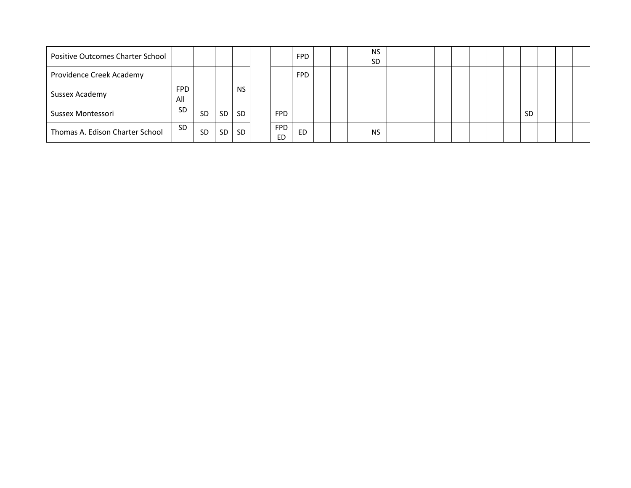| Positive Outcomes Charter School |                   |           |     |           |                         | <b>FPD</b> |  | <b>NS</b><br><b>SD</b> |  |  |  |           |  |  |
|----------------------------------|-------------------|-----------|-----|-----------|-------------------------|------------|--|------------------------|--|--|--|-----------|--|--|
| Providence Creek Academy         |                   |           |     |           |                         | <b>FPD</b> |  |                        |  |  |  |           |  |  |
| Sussex Academy                   | <b>FPD</b><br>All |           |     | <b>NS</b> |                         |            |  |                        |  |  |  |           |  |  |
| Sussex Montessori                | <b>SD</b>         | <b>SD</b> | SD  | <b>SD</b> | <b>FPD</b>              |            |  |                        |  |  |  | <b>SD</b> |  |  |
| Thomas A. Edison Charter School  | <b>SD</b>         | <b>SD</b> | SD. | SD.       | <b>FPD</b><br><b>ED</b> | ED         |  | <b>NS</b>              |  |  |  |           |  |  |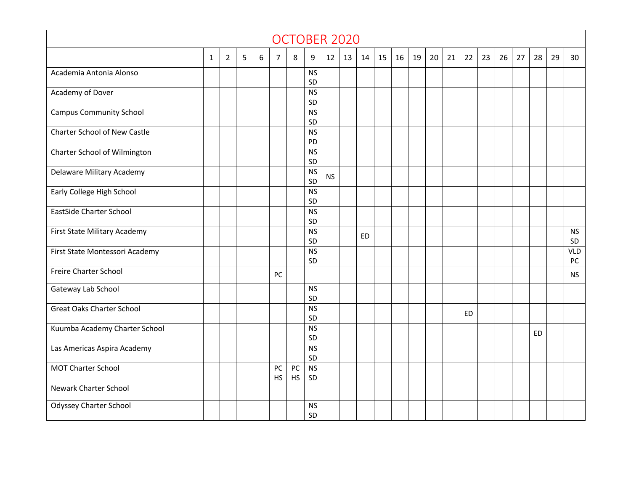|                                     |              |                |   |   |                 |          |                 |           | OCTOBER 2020 |           |    |    |    |    |    |    |    |    |    |     |    |                  |
|-------------------------------------|--------------|----------------|---|---|-----------------|----------|-----------------|-----------|--------------|-----------|----|----|----|----|----|----|----|----|----|-----|----|------------------|
|                                     | $\mathbf{1}$ | $\overline{2}$ | 5 | 6 | $\overline{7}$  | 8        | 9               | 12        | 13           | 14        | 15 | 16 | 19 | 20 | 21 | 22 | 23 | 26 | 27 | 28  | 29 | 30               |
| Academia Antonia Alonso             |              |                |   |   |                 |          | <b>NS</b><br>SD |           |              |           |    |    |    |    |    |    |    |    |    |     |    |                  |
| Academy of Dover                    |              |                |   |   |                 |          | <b>NS</b><br>SD |           |              |           |    |    |    |    |    |    |    |    |    |     |    |                  |
| <b>Campus Community School</b>      |              |                |   |   |                 |          | <b>NS</b><br>SD |           |              |           |    |    |    |    |    |    |    |    |    |     |    |                  |
| <b>Charter School of New Castle</b> |              |                |   |   |                 |          | <b>NS</b><br>PD |           |              |           |    |    |    |    |    |    |    |    |    |     |    |                  |
| Charter School of Wilmington        |              |                |   |   |                 |          | <b>NS</b><br>SD |           |              |           |    |    |    |    |    |    |    |    |    |     |    |                  |
| Delaware Military Academy           |              |                |   |   |                 |          | <b>NS</b><br>SD | <b>NS</b> |              |           |    |    |    |    |    |    |    |    |    |     |    |                  |
| Early College High School           |              |                |   |   |                 |          | <b>NS</b><br>SD |           |              |           |    |    |    |    |    |    |    |    |    |     |    |                  |
| <b>EastSide Charter School</b>      |              |                |   |   |                 |          | <b>NS</b><br>SD |           |              |           |    |    |    |    |    |    |    |    |    |     |    |                  |
| First State Military Academy        |              |                |   |   |                 |          | <b>NS</b><br>SD |           |              | <b>ED</b> |    |    |    |    |    |    |    |    |    |     |    | <b>NS</b><br>SD  |
| First State Montessori Academy      |              |                |   |   |                 |          | <b>NS</b><br>SD |           |              |           |    |    |    |    |    |    |    |    |    |     |    | <b>VLD</b><br>PC |
| Freire Charter School               |              |                |   |   | PC              |          |                 |           |              |           |    |    |    |    |    |    |    |    |    |     |    | <b>NS</b>        |
| Gateway Lab School                  |              |                |   |   |                 |          | <b>NS</b><br>SD |           |              |           |    |    |    |    |    |    |    |    |    |     |    |                  |
| <b>Great Oaks Charter School</b>    |              |                |   |   |                 |          | <b>NS</b><br>SD |           |              |           |    |    |    |    |    | ED |    |    |    |     |    |                  |
| Kuumba Academy Charter School       |              |                |   |   |                 |          | <b>NS</b><br>SD |           |              |           |    |    |    |    |    |    |    |    |    | ED. |    |                  |
| Las Americas Aspira Academy         |              |                |   |   |                 |          | <b>NS</b><br>SD |           |              |           |    |    |    |    |    |    |    |    |    |     |    |                  |
| <b>MOT Charter School</b>           |              |                |   |   | PC<br><b>HS</b> | PC<br>HS | <b>NS</b><br>SD |           |              |           |    |    |    |    |    |    |    |    |    |     |    |                  |
| <b>Newark Charter School</b>        |              |                |   |   |                 |          |                 |           |              |           |    |    |    |    |    |    |    |    |    |     |    |                  |
| <b>Odyssey Charter School</b>       |              |                |   |   |                 |          | <b>NS</b><br>SD |           |              |           |    |    |    |    |    |    |    |    |    |     |    |                  |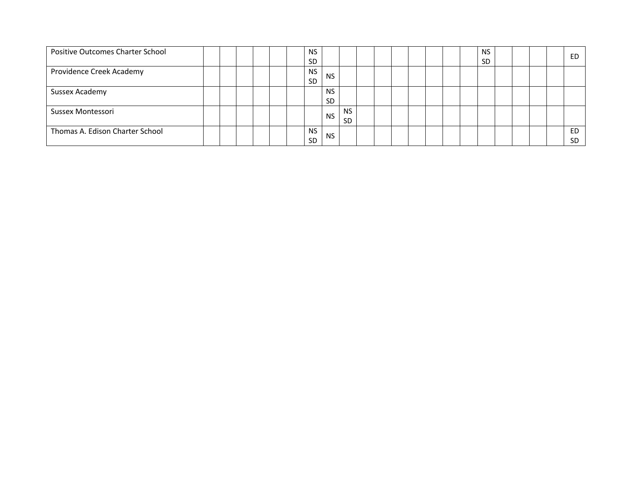| Positive Outcomes Charter School |  |  |  | <b>NS</b><br><b>SD</b> |                        |                  |  |  |  | <b>NS</b><br><b>SD</b> |  |  | ED               |
|----------------------------------|--|--|--|------------------------|------------------------|------------------|--|--|--|------------------------|--|--|------------------|
| Providence Creek Academy         |  |  |  | <b>NS</b><br><b>SD</b> | <b>NS</b>              |                  |  |  |  |                        |  |  |                  |
| Sussex Academy                   |  |  |  |                        | <b>NS</b><br><b>SD</b> |                  |  |  |  |                        |  |  |                  |
| Sussex Montessori                |  |  |  |                        | <b>NS</b>              | <b>NS</b><br>SD. |  |  |  |                        |  |  |                  |
| Thomas A. Edison Charter School  |  |  |  | <b>NS</b><br><b>SD</b> | <b>NS</b>              |                  |  |  |  |                        |  |  | ED.<br><b>SD</b> |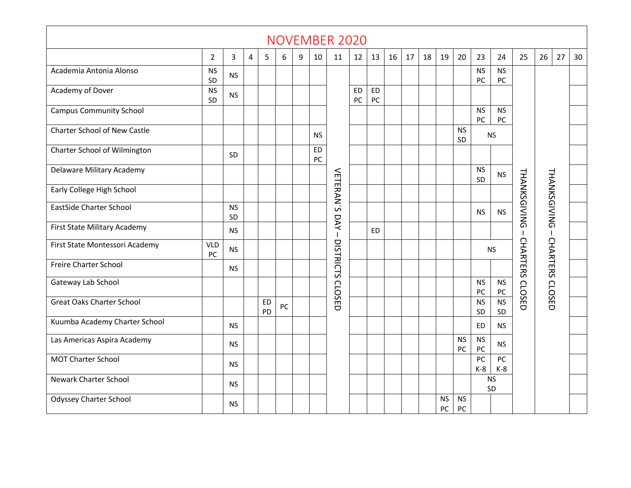|                                     |                                                                                                                                                                      |                 |   |                 |    |   |    | <b>NOVEMBER 2020</b> |                 |                 |    |    |    |                 |                 |                          |                                    |                 |                 |    |    |
|-------------------------------------|----------------------------------------------------------------------------------------------------------------------------------------------------------------------|-----------------|---|-----------------|----|---|----|----------------------|-----------------|-----------------|----|----|----|-----------------|-----------------|--------------------------|------------------------------------|-----------------|-----------------|----|----|
|                                     | $\overline{2}$                                                                                                                                                       | 3               | 4 | 5               | 6  | 9 | 10 | 11                   | 12              | 13              | 16 | 17 | 18 | 19              | 20              | 23                       | 24                                 | 25              | 26              | 27 | 30 |
| Academia Antonia Alonso             | <b>NS</b><br>SD                                                                                                                                                      | <b>NS</b>       |   |                 |    |   |    |                      |                 |                 |    |    |    |                 |                 | <b>NS</b><br>PC          | <b>NS</b><br>${\sf PC}$            |                 |                 |    |    |
| Academy of Dover                    | <b>NS</b><br>SD                                                                                                                                                      | <b>NS</b>       |   |                 |    |   |    |                      | <b>ED</b><br>PC | <b>ED</b><br>PC |    |    |    |                 |                 |                          |                                    |                 |                 |    |    |
| <b>Campus Community School</b>      |                                                                                                                                                                      |                 |   |                 |    |   |    |                      |                 |                 |    |    |    |                 |                 | <b>NS</b><br>$PC$        | <b>NS</b><br>PC                    |                 |                 |    |    |
| <b>Charter School of New Castle</b> | <b>NS</b><br><b>NS</b><br><b>NS</b><br>SD<br><b>ED</b><br><b>SD</b><br>PC<br><b>NS</b><br>VETERAN'S<br><b>THANKSGIVING</b><br><b>THANKSGIVING</b><br><b>NS</b><br>SD |                 |   |                 |    |   |    |                      |                 |                 |    |    |    |                 |                 |                          |                                    |                 |                 |    |    |
| Charter School of Wilmington        |                                                                                                                                                                      |                 |   |                 |    |   |    |                      |                 |                 |    |    |    |                 |                 |                          |                                    |                 |                 |    |    |
| Delaware Military Academy           |                                                                                                                                                                      |                 |   |                 |    |   |    |                      |                 |                 |    |    |    |                 |                 |                          |                                    |                 |                 |    |    |
| Early College High School           |                                                                                                                                                                      |                 |   |                 |    |   |    |                      |                 |                 |    |    |    |                 |                 |                          |                                    |                 |                 |    |    |
| <b>EastSide Charter School</b>      |                                                                                                                                                                      | <b>NS</b><br>SD |   |                 |    |   |    |                      |                 |                 |    |    |    |                 |                 | <b>NS</b>                | <b>NS</b>                          |                 |                 |    |    |
| First State Military Academy        |                                                                                                                                                                      | <b>NS</b>       |   |                 |    |   |    | DAY<br>$\mathbf{I}$  |                 | <b>ED</b>       |    |    |    |                 |                 |                          |                                    |                 | $\mathbf{I}$    |    |    |
| First State Montessori Academy      | <b>VLD</b><br>PC                                                                                                                                                     | <b>NS</b>       |   |                 |    |   |    | DISTRICTS            |                 |                 |    |    |    |                 |                 |                          | <b>NS</b>                          | <b>CHARTERS</b> | CHARTERS CLOSED |    |    |
| Freire Charter School               |                                                                                                                                                                      | <b>NS</b>       |   |                 |    |   |    |                      |                 |                 |    |    |    |                 |                 |                          |                                    |                 |                 |    |    |
| Gateway Lab School                  |                                                                                                                                                                      |                 |   |                 |    |   |    | <b>CLOSED</b>        |                 |                 |    |    |    |                 |                 | <b>NS</b><br>PC          | $\mathsf{NS}\xspace$<br>${\sf PC}$ | CLOSED          |                 |    |    |
| <b>Great Oaks Charter School</b>    |                                                                                                                                                                      |                 |   | <b>ED</b><br>PD | PC |   |    |                      |                 |                 |    |    |    |                 |                 | <b>NS</b><br>SD          | <b>NS</b><br>SD                    |                 |                 |    |    |
| Kuumba Academy Charter School       |                                                                                                                                                                      | <b>NS</b>       |   |                 |    |   |    |                      |                 |                 |    |    |    |                 |                 | <b>ED</b>                | <b>NS</b>                          |                 |                 |    |    |
| Las Americas Aspira Academy         |                                                                                                                                                                      | <b>NS</b>       |   |                 |    |   |    |                      |                 |                 |    |    |    |                 | <b>NS</b><br>PC | <b>NS</b><br>PC          | <b>NS</b>                          |                 |                 |    |    |
| MOT Charter School                  |                                                                                                                                                                      | <b>NS</b>       |   |                 |    |   |    |                      |                 |                 |    |    |    |                 |                 | $\overline{PC}$<br>$K-8$ | PC<br>$K-8$                        |                 |                 |    |    |
| <b>Newark Charter School</b>        |                                                                                                                                                                      | <b>NS</b>       |   |                 |    |   |    |                      |                 |                 |    |    |    |                 |                 |                          | <b>NS</b><br>SD                    |                 |                 |    |    |
| <b>Odyssey Charter School</b>       |                                                                                                                                                                      | <b>NS</b>       |   |                 |    |   |    |                      |                 |                 |    |    |    | <b>NS</b><br>PC | <b>NS</b><br>PC |                          |                                    |                 |                 |    |    |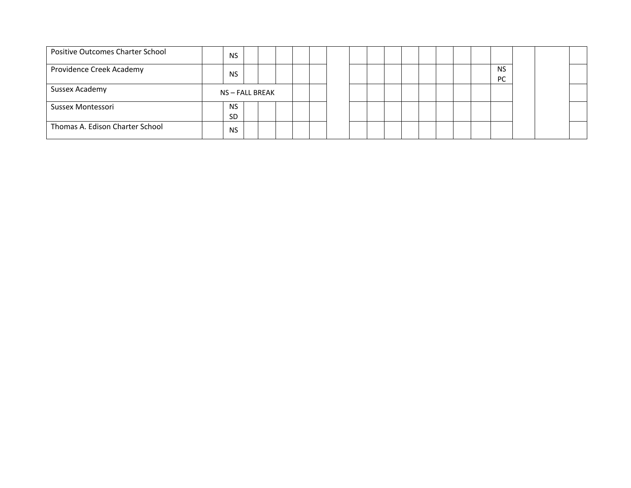| Positive Outcomes Charter School | <b>NS</b>       |  |  |  |  |  |  |  |                        |  |  |
|----------------------------------|-----------------|--|--|--|--|--|--|--|------------------------|--|--|
| Providence Creek Academy         | <b>NS</b>       |  |  |  |  |  |  |  | <b>NS</b><br><b>PC</b> |  |  |
| Sussex Academy                   | NS - FALL BREAK |  |  |  |  |  |  |  |                        |  |  |
| Sussex Montessori                | <b>NS</b>       |  |  |  |  |  |  |  |                        |  |  |
|                                  | <b>SD</b>       |  |  |  |  |  |  |  |                        |  |  |
| Thomas A. Edison Charter School  | <b>NS</b>       |  |  |  |  |  |  |  |                        |  |  |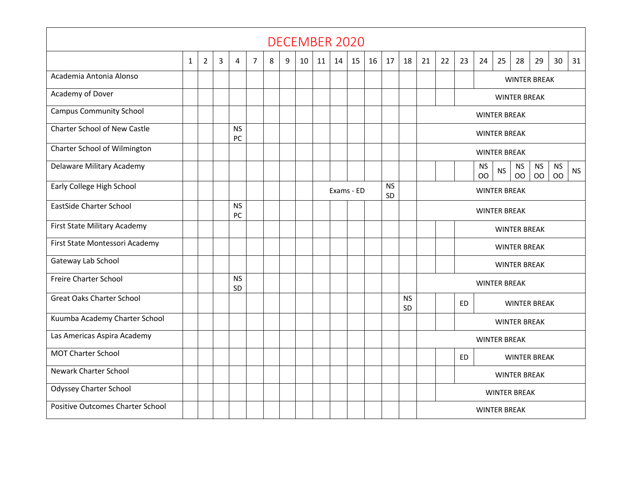|                                  |   |                |   |                 |                |   |   |    | <b>DECEMBER 2020</b> |    |            |    |                 |                 |                     |                                  |                     |                     |           |                     |                     |                        |           |  |  |  |  |  |
|----------------------------------|---|----------------|---|-----------------|----------------|---|---|----|----------------------|----|------------|----|-----------------|-----------------|---------------------|----------------------------------|---------------------|---------------------|-----------|---------------------|---------------------|------------------------|-----------|--|--|--|--|--|
|                                  | 1 | $\overline{2}$ | 3 | 4               | $\overline{7}$ | 8 | 9 | 10 | 11                   | 14 | 15         | 16 | 17              | 18              | 21                  | 22                               | 23                  | 24                  | 25        | 28                  | 29                  | 30                     | 31        |  |  |  |  |  |
| Academia Antonia Alonso          |   |                |   |                 |                |   |   |    |                      |    |            |    |                 |                 |                     |                                  |                     |                     |           |                     | <b>WINTER BREAK</b> |                        |           |  |  |  |  |  |
| Academy of Dover                 |   |                |   |                 |                |   |   |    |                      |    |            |    |                 |                 |                     |                                  |                     |                     |           | <b>WINTER BREAK</b> |                     |                        |           |  |  |  |  |  |
| <b>Campus Community School</b>   |   |                |   |                 |                |   |   |    |                      |    |            |    |                 |                 |                     |                                  |                     | <b>WINTER BREAK</b> |           |                     |                     |                        |           |  |  |  |  |  |
| Charter School of New Castle     |   |                |   | <b>NS</b><br>PC |                |   |   |    |                      |    |            |    |                 |                 |                     |                                  |                     | <b>WINTER BREAK</b> |           |                     |                     |                        |           |  |  |  |  |  |
| Charter School of Wilmington     |   |                |   |                 |                |   |   |    |                      |    |            |    |                 |                 |                     |                                  |                     | <b>WINTER BREAK</b> |           |                     |                     |                        |           |  |  |  |  |  |
| Delaware Military Academy        |   |                |   |                 |                |   |   |    |                      |    |            |    |                 |                 |                     |                                  |                     | <b>NS</b><br>OO     | <b>NS</b> | <b>NS</b><br>OO     | <b>NS</b><br>OO     | <b>NS</b><br><b>OO</b> | <b>NS</b> |  |  |  |  |  |
| Early College High School        |   |                |   |                 |                |   |   |    |                      |    | Exams - ED |    | <b>NS</b><br>SD |                 |                     | <b>WINTER BREAK</b>              |                     |                     |           |                     |                     |                        |           |  |  |  |  |  |
| <b>EastSide Charter School</b>   |   |                |   | <b>NS</b><br>PC |                |   |   |    |                      |    |            |    |                 |                 |                     |                                  | <b>WINTER BREAK</b> |                     |           |                     |                     |                        |           |  |  |  |  |  |
| First State Military Academy     |   |                |   |                 |                |   |   |    |                      |    |            |    |                 |                 |                     |                                  |                     |                     |           | <b>WINTER BREAK</b> |                     |                        |           |  |  |  |  |  |
| First State Montessori Academy   |   |                |   |                 |                |   |   |    |                      |    |            |    |                 |                 |                     |                                  |                     |                     |           | <b>WINTER BREAK</b> |                     |                        |           |  |  |  |  |  |
| Gateway Lab School               |   |                |   |                 |                |   |   |    |                      |    |            |    |                 |                 |                     |                                  |                     |                     |           | <b>WINTER BREAK</b> |                     |                        |           |  |  |  |  |  |
| Freire Charter School            |   |                |   | <b>NS</b><br>SD |                |   |   |    |                      |    |            |    |                 |                 |                     |                                  |                     | <b>WINTER BREAK</b> |           |                     |                     |                        |           |  |  |  |  |  |
| <b>Great Oaks Charter School</b> |   |                |   |                 |                |   |   |    |                      |    |            |    |                 | <b>NS</b><br>SD |                     |                                  | <b>ED</b>           |                     |           |                     | <b>WINTER BREAK</b> |                        |           |  |  |  |  |  |
| Kuumba Academy Charter School    |   |                |   |                 |                |   |   |    |                      |    |            |    |                 |                 |                     | <b>WINTER BREAK</b>              |                     |                     |           |                     |                     |                        |           |  |  |  |  |  |
| Las Americas Aspira Academy      |   |                |   |                 |                |   |   |    |                      |    |            |    |                 |                 | <b>WINTER BREAK</b> |                                  |                     |                     |           |                     |                     |                        |           |  |  |  |  |  |
| <b>MOT Charter School</b>        |   |                |   |                 |                |   |   |    |                      |    |            |    |                 |                 |                     | <b>ED</b><br><b>WINTER BREAK</b> |                     |                     |           |                     |                     |                        |           |  |  |  |  |  |
| <b>Newark Charter School</b>     |   |                |   |                 |                |   |   |    |                      |    |            |    |                 |                 | <b>WINTER BREAK</b> |                                  |                     |                     |           |                     |                     |                        |           |  |  |  |  |  |
| <b>Odyssey Charter School</b>    |   |                |   |                 |                |   |   |    |                      |    |            |    |                 |                 |                     |                                  |                     |                     |           | <b>WINTER BREAK</b> |                     |                        |           |  |  |  |  |  |
| Positive Outcomes Charter School |   |                |   |                 |                |   |   |    |                      |    |            |    |                 |                 | <b>WINTER BREAK</b> |                                  |                     |                     |           |                     |                     |                        |           |  |  |  |  |  |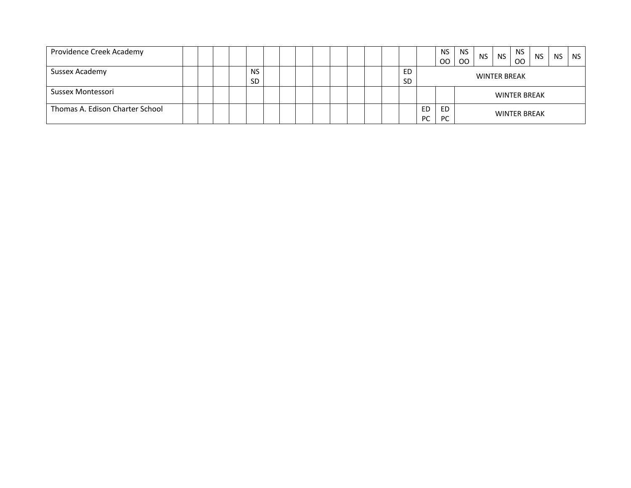| Providence Creek Academy        |  |  |           |  |  |  |  |           |           | <b>NS</b> | <b>NS</b> | <b>NS</b>           | <b>NS</b> | <b>NS</b> | <b>NS</b> | <b>NS</b> | NS |  |  |  |  |
|---------------------------------|--|--|-----------|--|--|--|--|-----------|-----------|-----------|-----------|---------------------|-----------|-----------|-----------|-----------|----|--|--|--|--|
|                                 |  |  |           |  |  |  |  |           |           | OO.       | OO        |                     |           | <b>OO</b> |           |           |    |  |  |  |  |
| Sussex Academy                  |  |  | <b>NS</b> |  |  |  |  | ED        |           |           |           |                     |           |           |           |           |    |  |  |  |  |
|                                 |  |  | <b>SD</b> |  |  |  |  | <b>SD</b> |           |           |           | <b>WINTER BREAK</b> |           |           |           |           |    |  |  |  |  |
| Sussex Montessori               |  |  |           |  |  |  |  |           |           |           |           | <b>WINTER BREAK</b> |           |           |           |           |    |  |  |  |  |
| Thomas A. Edison Charter School |  |  |           |  |  |  |  |           | <b>ED</b> | ED        |           |                     |           |           |           |           |    |  |  |  |  |
|                                 |  |  |           |  |  |  |  |           | <b>PC</b> | <b>PC</b> |           | <b>WINTER BREAK</b> |           |           |           |           |    |  |  |  |  |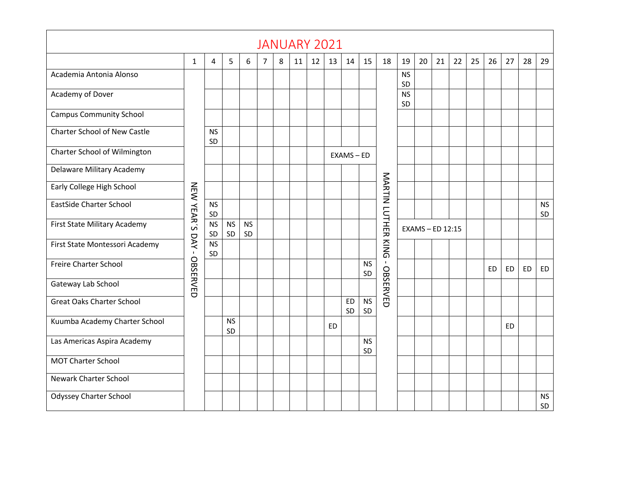|                                     |                                                                                                                                             |                 |                 |   |                |   |    |                 | <b>JANUARY 2021</b> |                 |                 |              |                 |    |    |    |    |    |           |           |                 |
|-------------------------------------|---------------------------------------------------------------------------------------------------------------------------------------------|-----------------|-----------------|---|----------------|---|----|-----------------|---------------------|-----------------|-----------------|--------------|-----------------|----|----|----|----|----|-----------|-----------|-----------------|
|                                     | $\mathbf{1}$                                                                                                                                | 4               | 5               | 6 | $\overline{7}$ | 8 | 11 | 12 <sup>1</sup> | 13                  | 14              | 15              | 18           | 19              | 20 | 21 | 22 | 25 | 26 | 27        | 28        | 29              |
| Academia Antonia Alonso             |                                                                                                                                             |                 |                 |   |                |   |    |                 |                     |                 |                 |              | <b>NS</b><br>SD |    |    |    |    |    |           |           |                 |
| Academy of Dover                    |                                                                                                                                             |                 |                 |   |                |   |    |                 |                     |                 |                 |              | <b>NS</b><br>SD |    |    |    |    |    |           |           |                 |
| <b>Campus Community School</b>      |                                                                                                                                             |                 |                 |   |                |   |    |                 |                     |                 |                 |              |                 |    |    |    |    |    |           |           |                 |
| <b>Charter School of New Castle</b> |                                                                                                                                             | <b>NS</b><br>SD |                 |   |                |   |    |                 |                     |                 |                 |              |                 |    |    |    |    |    |           |           |                 |
| Charter School of Wilmington        | $EXAMS - ED$<br>MARTIN LUTHER<br>NEW YEAR'S<br><b>NS</b><br>SD<br><b>NS</b><br><b>NS</b><br><b>NS</b><br>EXAMS - ED 12:15<br>SD<br>SD<br>SD |                 |                 |   |                |   |    |                 |                     |                 |                 |              |                 |    |    |    |    |    |           |           |                 |
| Delaware Military Academy           |                                                                                                                                             |                 |                 |   |                |   |    |                 |                     |                 |                 |              |                 |    |    |    |    |    |           |           |                 |
| Early College High School           |                                                                                                                                             |                 |                 |   |                |   |    |                 |                     |                 |                 |              |                 |    |    |    |    |    |           |           |                 |
| <b>EastSide Charter School</b>      |                                                                                                                                             |                 |                 |   |                |   |    |                 |                     |                 |                 |              |                 |    |    |    |    |    |           |           | <b>NS</b><br>SD |
| First State Military Academy        |                                                                                                                                             |                 |                 |   |                |   |    |                 |                     |                 |                 |              |                 |    |    |    |    |    |           |           |                 |
| First State Montessori Academy      | DAY<br>$\mathbf{I}$                                                                                                                         | <b>NS</b><br>SD |                 |   |                |   |    |                 |                     |                 |                 | <b>KING</b>  |                 |    |    |    |    |    |           |           |                 |
| Freire Charter School               | OBSERVED                                                                                                                                    |                 |                 |   |                |   |    |                 |                     |                 | <b>NS</b><br>SD | $\mathbf{L}$ |                 |    |    |    |    | ED | <b>ED</b> | <b>ED</b> | ED              |
| Gateway Lab School                  |                                                                                                                                             |                 |                 |   |                |   |    |                 |                     |                 |                 | OBSERVED     |                 |    |    |    |    |    |           |           |                 |
| <b>Great Oaks Charter School</b>    |                                                                                                                                             |                 |                 |   |                |   |    |                 |                     | <b>ED</b><br>SD | <b>NS</b><br>SD |              |                 |    |    |    |    |    |           |           |                 |
| Kuumba Academy Charter School       |                                                                                                                                             |                 | <b>NS</b><br>SD |   |                |   |    |                 | <b>ED</b>           |                 |                 |              |                 |    |    |    |    |    | <b>ED</b> |           |                 |
| Las Americas Aspira Academy         |                                                                                                                                             |                 |                 |   |                |   |    |                 |                     |                 | <b>NS</b><br>SD |              |                 |    |    |    |    |    |           |           |                 |
| <b>MOT Charter School</b>           |                                                                                                                                             |                 |                 |   |                |   |    |                 |                     |                 |                 |              |                 |    |    |    |    |    |           |           |                 |
| <b>Newark Charter School</b>        |                                                                                                                                             |                 |                 |   |                |   |    |                 |                     |                 |                 |              |                 |    |    |    |    |    |           |           |                 |
| <b>Odyssey Charter School</b>       |                                                                                                                                             |                 |                 |   |                |   |    |                 |                     |                 |                 |              |                 |    |    |    |    |    |           |           | <b>NS</b><br>SD |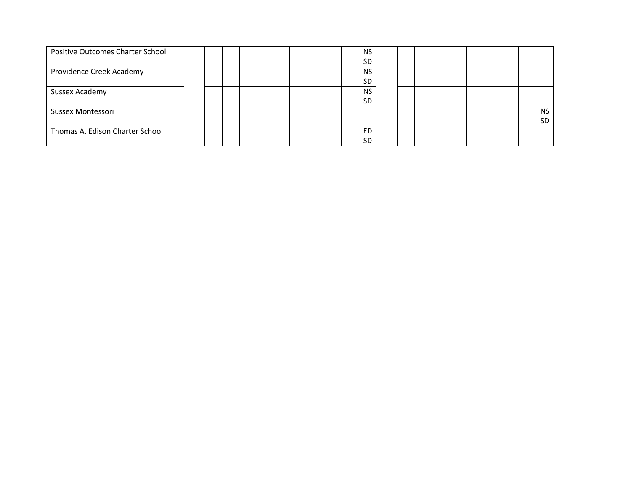| Positive Outcomes Charter School |  |  |  |  | <b>NS</b> |           |  |  |  |  |           |
|----------------------------------|--|--|--|--|-----------|-----------|--|--|--|--|-----------|
|                                  |  |  |  |  |           | SD        |  |  |  |  |           |
| Providence Creek Academy         |  |  |  |  |           | <b>NS</b> |  |  |  |  |           |
|                                  |  |  |  |  |           | SD.       |  |  |  |  |           |
| Sussex Academy                   |  |  |  |  | <b>NS</b> |           |  |  |  |  |           |
|                                  |  |  |  |  | <b>SD</b> |           |  |  |  |  |           |
| Sussex Montessori                |  |  |  |  |           |           |  |  |  |  | <b>NS</b> |
|                                  |  |  |  |  |           |           |  |  |  |  | <b>SD</b> |
| Thomas A. Edison Charter School  |  |  |  |  | ED        |           |  |  |  |  |           |
|                                  |  |  |  |  |           | SD        |  |  |  |  |           |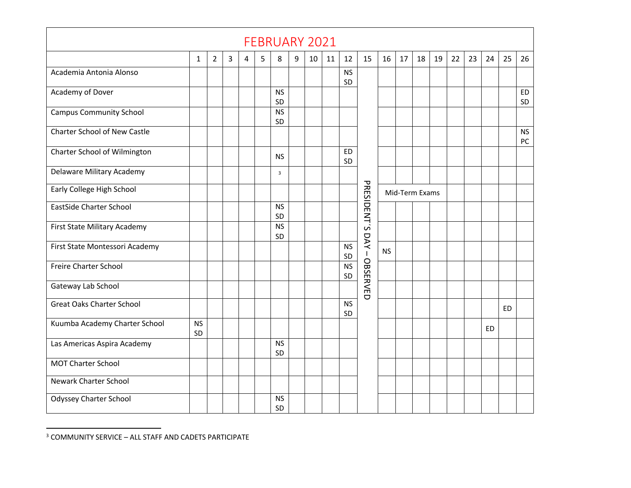|                                     |                 |                |   |   |   | <b>FEBRUARY 2021</b> |   |    |    |                 |                 |           |    |                |    |    |    |           |           |                 |
|-------------------------------------|-----------------|----------------|---|---|---|----------------------|---|----|----|-----------------|-----------------|-----------|----|----------------|----|----|----|-----------|-----------|-----------------|
|                                     | $\mathbf{1}$    | $\overline{2}$ | 3 | 4 | 5 | 8                    | 9 | 10 | 11 | 12              | 15              | 16        | 17 | 18             | 19 | 22 | 23 | 24        | 25        | 26              |
| Academia Antonia Alonso             |                 |                |   |   |   |                      |   |    |    | <b>NS</b><br>SD |                 |           |    |                |    |    |    |           |           |                 |
| Academy of Dover                    |                 |                |   |   |   | <b>NS</b><br>SD      |   |    |    |                 |                 |           |    |                |    |    |    |           |           | <b>ED</b><br>SD |
| <b>Campus Community School</b>      |                 |                |   |   |   | <b>NS</b><br>SD      |   |    |    |                 |                 |           |    |                |    |    |    |           |           |                 |
| <b>Charter School of New Castle</b> |                 |                |   |   |   |                      |   |    |    |                 |                 |           |    |                |    |    |    |           |           | <b>NS</b><br>PC |
| Charter School of Wilmington        |                 |                |   |   |   | <b>NS</b>            |   |    |    | ED<br>SD        |                 |           |    |                |    |    |    |           |           |                 |
| Delaware Military Academy           |                 |                |   |   |   | $\overline{3}$       |   |    |    |                 |                 |           |    |                |    |    |    |           |           |                 |
| Early College High School           |                 |                |   |   |   |                      |   |    |    |                 |                 |           |    | Mid-Term Exams |    |    |    |           |           |                 |
| EastSide Charter School             |                 |                |   |   |   | <b>NS</b><br>SD      |   |    |    |                 | PRESIDENT'S     |           |    |                |    |    |    |           |           |                 |
| First State Military Academy        |                 |                |   |   |   | <b>NS</b><br>SD      |   |    |    |                 | DAY             |           |    |                |    |    |    |           |           |                 |
| First State Montessori Academy      |                 |                |   |   |   |                      |   |    |    | <b>NS</b><br>SD | $\mathbf{I}$    | <b>NS</b> |    |                |    |    |    |           |           |                 |
| Freire Charter School               |                 |                |   |   |   |                      |   |    |    | <b>NS</b><br>SD | <b>OBSERVED</b> |           |    |                |    |    |    |           |           |                 |
| Gateway Lab School                  |                 |                |   |   |   |                      |   |    |    |                 |                 |           |    |                |    |    |    |           |           |                 |
| <b>Great Oaks Charter School</b>    |                 |                |   |   |   |                      |   |    |    | <b>NS</b><br>SD |                 |           |    |                |    |    |    |           | <b>ED</b> |                 |
| Kuumba Academy Charter School       | <b>NS</b><br>SD |                |   |   |   |                      |   |    |    |                 |                 |           |    |                |    |    |    | <b>ED</b> |           |                 |
| Las Americas Aspira Academy         |                 |                |   |   |   | <b>NS</b><br>SD      |   |    |    |                 |                 |           |    |                |    |    |    |           |           |                 |
| <b>MOT Charter School</b>           |                 |                |   |   |   |                      |   |    |    |                 |                 |           |    |                |    |    |    |           |           |                 |
| Newark Charter School               |                 |                |   |   |   |                      |   |    |    |                 |                 |           |    |                |    |    |    |           |           |                 |
| <b>Odyssey Charter School</b>       |                 |                |   |   |   | <b>NS</b><br>SD      |   |    |    |                 |                 |           |    |                |    |    |    |           |           |                 |

<sup>3</sup> COMMUNITY SERVICE – ALL STAFF AND CADETS PARTICIPATE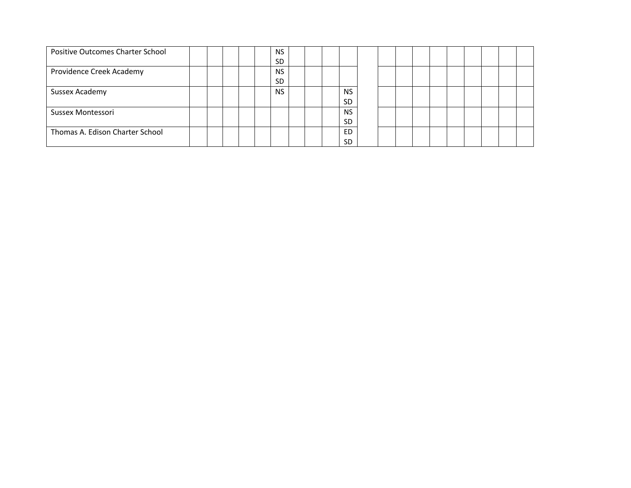| Positive Outcomes Charter School |  |  | <b>NS</b> |  |           |  |  |  |  |  |
|----------------------------------|--|--|-----------|--|-----------|--|--|--|--|--|
|                                  |  |  | <b>SD</b> |  |           |  |  |  |  |  |
| Providence Creek Academy         |  |  | <b>NS</b> |  |           |  |  |  |  |  |
|                                  |  |  | <b>SD</b> |  |           |  |  |  |  |  |
| Sussex Academy                   |  |  | <b>NS</b> |  | <b>NS</b> |  |  |  |  |  |
|                                  |  |  |           |  | SD        |  |  |  |  |  |
| Sussex Montessori                |  |  |           |  | <b>NS</b> |  |  |  |  |  |
|                                  |  |  |           |  | SD.       |  |  |  |  |  |
| Thomas A. Edison Charter School  |  |  |           |  | ED        |  |  |  |  |  |
|                                  |  |  |           |  | <b>SD</b> |  |  |  |  |  |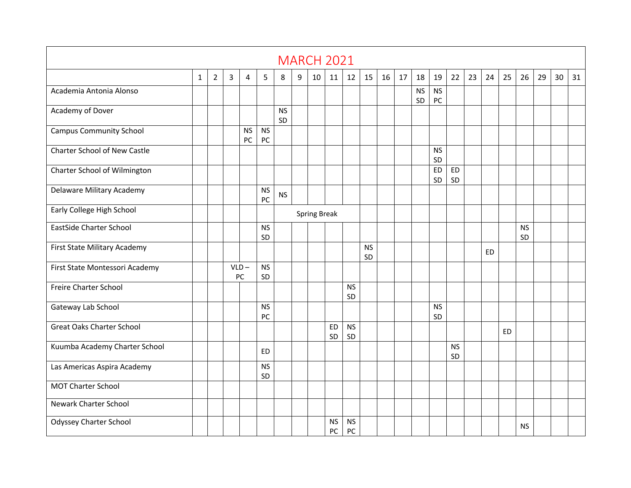|                                     |              |                |   |                 |                 |                 |   | <b>MARCH 2021</b>   |                 |                 |                 |    |    |                 |                 |                 |    |    |           |                 |    |    |    |
|-------------------------------------|--------------|----------------|---|-----------------|-----------------|-----------------|---|---------------------|-----------------|-----------------|-----------------|----|----|-----------------|-----------------|-----------------|----|----|-----------|-----------------|----|----|----|
|                                     | $\mathbf{1}$ | $\overline{2}$ | 3 | 4               | 5               | 8               | 9 | 10                  | 11              | 12              | 15              | 16 | 17 | 18              | 19              | 22              | 23 | 24 | 25        | 26              | 29 | 30 | 31 |
| Academia Antonia Alonso             |              |                |   |                 |                 |                 |   |                     |                 |                 |                 |    |    | <b>NS</b><br>SD | <b>NS</b><br>PC |                 |    |    |           |                 |    |    |    |
| Academy of Dover                    |              |                |   |                 |                 | <b>NS</b><br>SD |   |                     |                 |                 |                 |    |    |                 |                 |                 |    |    |           |                 |    |    |    |
| <b>Campus Community School</b>      |              |                |   | <b>NS</b><br>PC | <b>NS</b><br>PC |                 |   |                     |                 |                 |                 |    |    |                 |                 |                 |    |    |           |                 |    |    |    |
| <b>Charter School of New Castle</b> |              |                |   |                 |                 |                 |   |                     |                 |                 |                 |    |    |                 | <b>NS</b><br>SD |                 |    |    |           |                 |    |    |    |
| Charter School of Wilmington        |              |                |   |                 |                 |                 |   |                     |                 |                 |                 |    |    |                 | <b>ED</b><br>SD | <b>ED</b><br>SD |    |    |           |                 |    |    |    |
| Delaware Military Academy           |              |                |   |                 | <b>NS</b><br>PC | <b>NS</b>       |   |                     |                 |                 |                 |    |    |                 |                 |                 |    |    |           |                 |    |    |    |
| Early College High School           |              |                |   |                 |                 |                 |   | <b>Spring Break</b> |                 |                 |                 |    |    |                 |                 |                 |    |    |           |                 |    |    |    |
| <b>EastSide Charter School</b>      |              |                |   |                 | <b>NS</b><br>SD |                 |   |                     |                 |                 |                 |    |    |                 |                 |                 |    |    |           | <b>NS</b><br>SD |    |    |    |
| First State Military Academy        |              |                |   |                 |                 |                 |   |                     |                 |                 | <b>NS</b><br>SD |    |    |                 |                 |                 |    | ED |           |                 |    |    |    |
| First State Montessori Academy      |              |                |   | $VLD -$<br>PC   | <b>NS</b><br>SD |                 |   |                     |                 |                 |                 |    |    |                 |                 |                 |    |    |           |                 |    |    |    |
| Freire Charter School               |              |                |   |                 |                 |                 |   |                     |                 | <b>NS</b><br>SD |                 |    |    |                 |                 |                 |    |    |           |                 |    |    |    |
| Gateway Lab School                  |              |                |   |                 | <b>NS</b><br>PC |                 |   |                     |                 |                 |                 |    |    |                 | <b>NS</b><br>SD |                 |    |    |           |                 |    |    |    |
| <b>Great Oaks Charter School</b>    |              |                |   |                 |                 |                 |   |                     | <b>ED</b><br>SD | <b>NS</b><br>SD |                 |    |    |                 |                 |                 |    |    | <b>ED</b> |                 |    |    |    |
| Kuumba Academy Charter School       |              |                |   |                 | ED              |                 |   |                     |                 |                 |                 |    |    |                 |                 | <b>NS</b><br>SD |    |    |           |                 |    |    |    |
| Las Americas Aspira Academy         |              |                |   |                 | <b>NS</b><br>SD |                 |   |                     |                 |                 |                 |    |    |                 |                 |                 |    |    |           |                 |    |    |    |
| <b>MOT Charter School</b>           |              |                |   |                 |                 |                 |   |                     |                 |                 |                 |    |    |                 |                 |                 |    |    |           |                 |    |    |    |
| <b>Newark Charter School</b>        |              |                |   |                 |                 |                 |   |                     |                 |                 |                 |    |    |                 |                 |                 |    |    |           |                 |    |    |    |
| <b>Odyssey Charter School</b>       |              |                |   |                 |                 |                 |   |                     | <b>NS</b><br>PC | <b>NS</b><br>PC |                 |    |    |                 |                 |                 |    |    |           | <b>NS</b>       |    |    |    |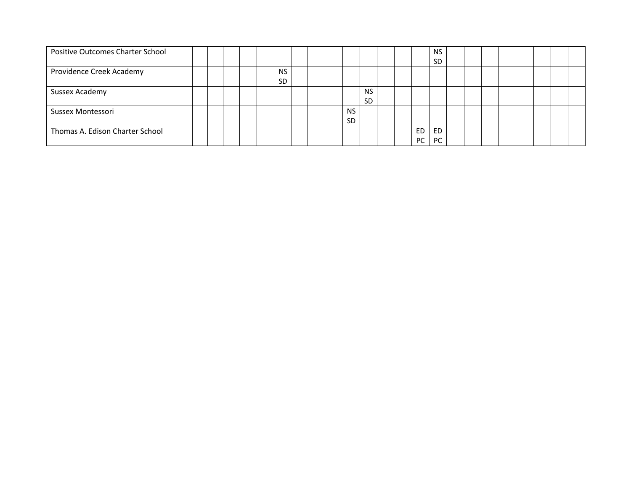| Positive Outcomes Charter School |  |  |           |  |           |           |  |     | <b>NS</b> |  |  |  |  |
|----------------------------------|--|--|-----------|--|-----------|-----------|--|-----|-----------|--|--|--|--|
|                                  |  |  |           |  |           |           |  |     | <b>SD</b> |  |  |  |  |
| Providence Creek Academy         |  |  | <b>NS</b> |  |           |           |  |     |           |  |  |  |  |
|                                  |  |  | SD        |  |           |           |  |     |           |  |  |  |  |
| Sussex Academy                   |  |  |           |  |           | <b>NS</b> |  |     |           |  |  |  |  |
|                                  |  |  |           |  |           | <b>SD</b> |  |     |           |  |  |  |  |
| Sussex Montessori                |  |  |           |  | <b>NS</b> |           |  |     |           |  |  |  |  |
|                                  |  |  |           |  | <b>SD</b> |           |  |     |           |  |  |  |  |
| Thomas A. Edison Charter School  |  |  |           |  |           |           |  | ED. | <b>ED</b> |  |  |  |  |
|                                  |  |  |           |  |           |           |  | PC  | PC        |  |  |  |  |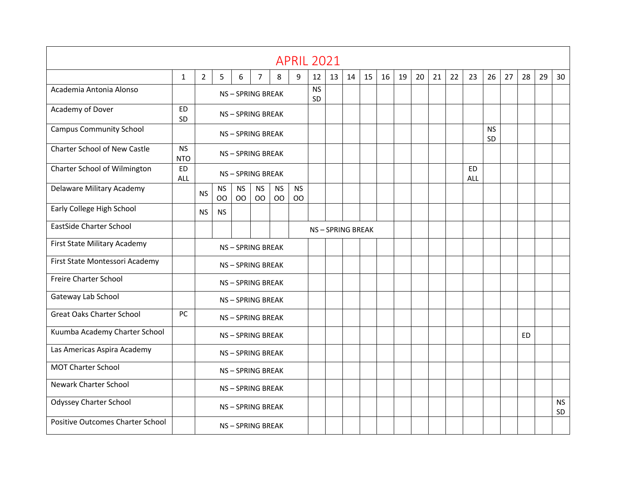|                                         |                         |                |                        |                 |                 |                             | <b>APRIL 2021</b>           |                 |                 |    |    |    |    |    |    |    |                  |                 |    |    |    |                 |
|-----------------------------------------|-------------------------|----------------|------------------------|-----------------|-----------------|-----------------------------|-----------------------------|-----------------|-----------------|----|----|----|----|----|----|----|------------------|-----------------|----|----|----|-----------------|
|                                         | $\mathbf{1}$            | $\overline{2}$ | 5                      | 6               | $\overline{7}$  | 8                           | 9                           | 12              | 13              | 14 | 15 | 16 | 19 | 20 | 21 | 22 | 23               | 26              | 27 | 28 | 29 | 30              |
| Academia Antonia Alonso                 |                         |                |                        |                 | NS-SPRING BREAK |                             |                             | <b>NS</b><br>SD |                 |    |    |    |    |    |    |    |                  |                 |    |    |    |                 |
| Academy of Dover                        | <b>ED</b><br>SD         |                |                        |                 | NS-SPRING BREAK |                             |                             |                 |                 |    |    |    |    |    |    |    |                  |                 |    |    |    |                 |
| <b>Campus Community School</b>          |                         |                |                        |                 | NS-SPRING BREAK |                             |                             |                 |                 |    |    |    |    |    |    |    |                  | <b>NS</b><br>SD |    |    |    |                 |
| <b>Charter School of New Castle</b>     | <b>NS</b><br><b>NTO</b> |                |                        |                 | NS-SPRING BREAK |                             |                             |                 |                 |    |    |    |    |    |    |    |                  |                 |    |    |    |                 |
| Charter School of Wilmington            | <b>ED</b><br>ALL        |                |                        |                 | NS-SPRING BREAK |                             |                             |                 |                 |    |    |    |    |    |    |    | <b>ED</b><br>ALL |                 |    |    |    |                 |
| Delaware Military Academy               |                         | <b>NS</b>      | <b>NS</b><br><b>OO</b> | <b>NS</b><br>OO | <b>NS</b><br>OO | <b>NS</b><br>O <sub>O</sub> | <b>NS</b><br>O <sub>O</sub> |                 |                 |    |    |    |    |    |    |    |                  |                 |    |    |    |                 |
| Early College High School               |                         | <b>NS</b>      | <b>NS</b>              |                 |                 |                             |                             |                 |                 |    |    |    |    |    |    |    |                  |                 |    |    |    |                 |
| <b>EastSide Charter School</b>          |                         |                |                        |                 |                 |                             |                             |                 | NS-SPRING BREAK |    |    |    |    |    |    |    |                  |                 |    |    |    |                 |
| First State Military Academy            |                         |                |                        |                 | NS-SPRING BREAK |                             |                             |                 |                 |    |    |    |    |    |    |    |                  |                 |    |    |    |                 |
| First State Montessori Academy          |                         |                |                        |                 | NS-SPRING BREAK |                             |                             |                 |                 |    |    |    |    |    |    |    |                  |                 |    |    |    |                 |
| Freire Charter School                   |                         |                |                        |                 | NS-SPRING BREAK |                             |                             |                 |                 |    |    |    |    |    |    |    |                  |                 |    |    |    |                 |
| Gateway Lab School                      |                         |                |                        |                 | NS-SPRING BREAK |                             |                             |                 |                 |    |    |    |    |    |    |    |                  |                 |    |    |    |                 |
| <b>Great Oaks Charter School</b>        | PC                      |                |                        |                 | NS-SPRING BREAK |                             |                             |                 |                 |    |    |    |    |    |    |    |                  |                 |    |    |    |                 |
| Kuumba Academy Charter School           |                         |                |                        |                 | NS-SPRING BREAK |                             |                             |                 |                 |    |    |    |    |    |    |    |                  |                 |    | ED |    |                 |
| Las Americas Aspira Academy             |                         |                |                        |                 | NS-SPRING BREAK |                             |                             |                 |                 |    |    |    |    |    |    |    |                  |                 |    |    |    |                 |
| <b>MOT Charter School</b>               |                         |                |                        |                 | NS-SPRING BREAK |                             |                             |                 |                 |    |    |    |    |    |    |    |                  |                 |    |    |    |                 |
| <b>Newark Charter School</b>            |                         |                |                        |                 | NS-SPRING BREAK |                             |                             |                 |                 |    |    |    |    |    |    |    |                  |                 |    |    |    |                 |
| <b>Odyssey Charter School</b>           |                         |                |                        |                 | NS-SPRING BREAK |                             |                             |                 |                 |    |    |    |    |    |    |    |                  |                 |    |    |    | <b>NS</b><br>SD |
| <b>Positive Outcomes Charter School</b> |                         |                |                        |                 | NS-SPRING BREAK |                             |                             |                 |                 |    |    |    |    |    |    |    |                  |                 |    |    |    |                 |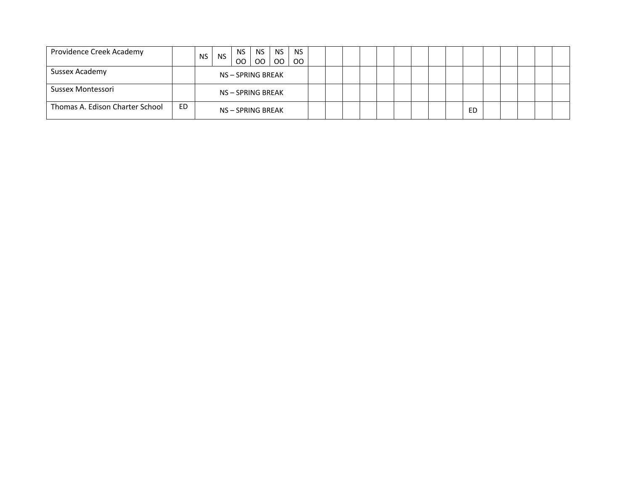| Providence Creek Academy        |    | <b>NS</b> | <b>NS</b> | NS.<br>OO         | <b>NS</b><br>00 | <b>NS</b><br><sub>00</sub> | <b>NS</b><br>OO. |  |  |  |  |           |  |  |  |
|---------------------------------|----|-----------|-----------|-------------------|-----------------|----------------------------|------------------|--|--|--|--|-----------|--|--|--|
| Sussex Academy                  |    |           |           | NS-SPRING BREAK   |                 |                            |                  |  |  |  |  |           |  |  |  |
| Sussex Montessori               |    |           |           | NS – SPRING BREAK |                 |                            |                  |  |  |  |  |           |  |  |  |
| Thomas A. Edison Charter School | ED |           |           | NS-SPRING BREAK   |                 |                            |                  |  |  |  |  | <b>ED</b> |  |  |  |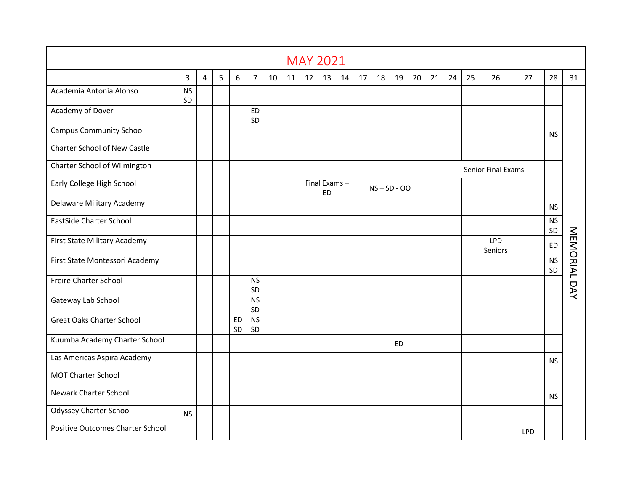|                                         |                 |   |   |                 |                 |    |    |    | <b>MAY 2021</b>           |    |    |    |                |    |    |    |    |                       |            |                 |              |
|-----------------------------------------|-----------------|---|---|-----------------|-----------------|----|----|----|---------------------------|----|----|----|----------------|----|----|----|----|-----------------------|------------|-----------------|--------------|
|                                         | $\overline{3}$  | 4 | 5 | 6               | $\overline{7}$  | 10 | 11 | 12 | 13                        | 14 | 17 | 18 | 19             | 20 | 21 | 24 | 25 | 26                    | 27         | 28              | 31           |
| Academia Antonia Alonso                 | <b>NS</b><br>SD |   |   |                 |                 |    |    |    |                           |    |    |    |                |    |    |    |    |                       |            |                 |              |
| Academy of Dover                        |                 |   |   |                 | <b>ED</b><br>SD |    |    |    |                           |    |    |    |                |    |    |    |    |                       |            |                 |              |
| <b>Campus Community School</b>          |                 |   |   |                 |                 |    |    |    |                           |    |    |    |                |    |    |    |    |                       |            | <b>NS</b>       |              |
| <b>Charter School of New Castle</b>     |                 |   |   |                 |                 |    |    |    |                           |    |    |    |                |    |    |    |    |                       |            |                 |              |
| Charter School of Wilmington            |                 |   |   |                 |                 |    |    |    |                           |    |    |    |                |    |    |    |    | Senior Final Exams    |            |                 |              |
| Early College High School               |                 |   |   |                 |                 |    |    |    | Final Exams-<br><b>ED</b> |    |    |    | $NS - SD - OO$ |    |    |    |    |                       |            |                 |              |
| Delaware Military Academy               |                 |   |   |                 |                 |    |    |    |                           |    |    |    |                |    |    |    |    |                       |            | <b>NS</b>       |              |
| <b>EastSide Charter School</b>          |                 |   |   |                 |                 |    |    |    |                           |    |    |    |                |    |    |    |    |                       |            | <b>NS</b><br>SD |              |
| First State Military Academy            |                 |   |   |                 |                 |    |    |    |                           |    |    |    |                |    |    |    |    | <b>LPD</b><br>Seniors |            | <b>ED</b>       |              |
| First State Montessori Academy          |                 |   |   |                 |                 |    |    |    |                           |    |    |    |                |    |    |    |    |                       |            | <b>NS</b><br>SD |              |
| Freire Charter School                   |                 |   |   |                 | <b>NS</b><br>SD |    |    |    |                           |    |    |    |                |    |    |    |    |                       |            |                 | MEMORIAL DAY |
| Gateway Lab School                      |                 |   |   |                 | <b>NS</b><br>SD |    |    |    |                           |    |    |    |                |    |    |    |    |                       |            |                 |              |
| <b>Great Oaks Charter School</b>        |                 |   |   | <b>ED</b><br>SD | <b>NS</b><br>SD |    |    |    |                           |    |    |    |                |    |    |    |    |                       |            |                 |              |
| Kuumba Academy Charter School           |                 |   |   |                 |                 |    |    |    |                           |    |    |    | <b>ED</b>      |    |    |    |    |                       |            |                 |              |
| Las Americas Aspira Academy             |                 |   |   |                 |                 |    |    |    |                           |    |    |    |                |    |    |    |    |                       |            | <b>NS</b>       |              |
| <b>MOT Charter School</b>               |                 |   |   |                 |                 |    |    |    |                           |    |    |    |                |    |    |    |    |                       |            |                 |              |
| <b>Newark Charter School</b>            |                 |   |   |                 |                 |    |    |    |                           |    |    |    |                |    |    |    |    |                       |            | NS.             |              |
| <b>Odyssey Charter School</b>           | <b>NS</b>       |   |   |                 |                 |    |    |    |                           |    |    |    |                |    |    |    |    |                       |            |                 |              |
| <b>Positive Outcomes Charter School</b> |                 |   |   |                 |                 |    |    |    |                           |    |    |    |                |    |    |    |    |                       | <b>LPD</b> |                 |              |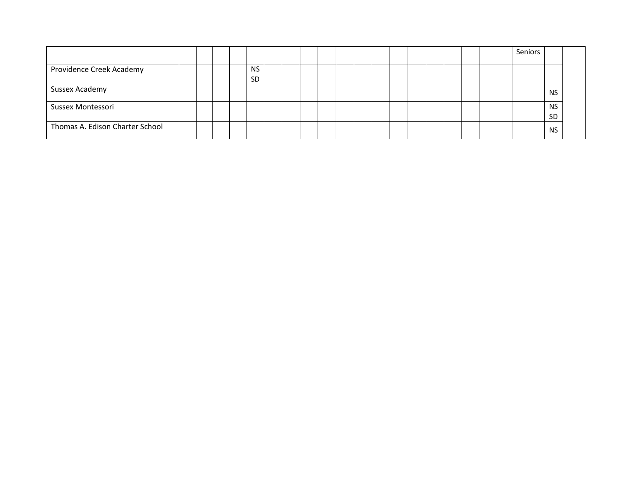|                                 |  |  |                        |  |  |  |  |  |  | Seniors |                        |  |
|---------------------------------|--|--|------------------------|--|--|--|--|--|--|---------|------------------------|--|
| Providence Creek Academy        |  |  | <b>NS</b><br><b>SD</b> |  |  |  |  |  |  |         |                        |  |
| Sussex Academy                  |  |  |                        |  |  |  |  |  |  |         | <b>NS</b>              |  |
| Sussex Montessori               |  |  |                        |  |  |  |  |  |  |         | <b>NS</b><br><b>SD</b> |  |
| Thomas A. Edison Charter School |  |  |                        |  |  |  |  |  |  |         | <b>NS</b>              |  |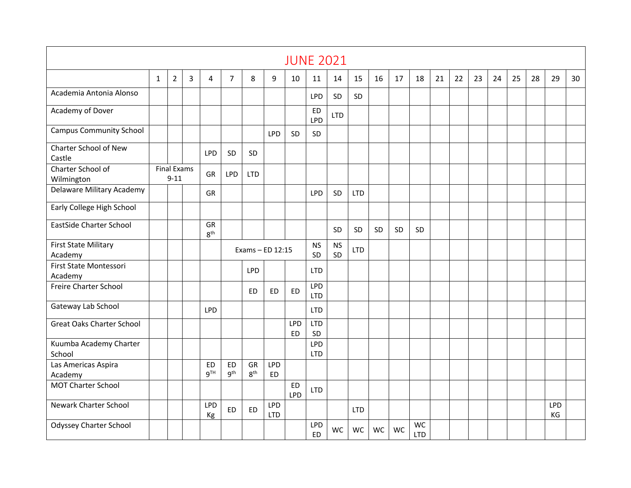|                                        |   |                                |   |                       |                              |                       |                          | <b>JUNE 2021</b> |                          |                 |            |           |           |                  |    |    |    |    |    |    |           |    |
|----------------------------------------|---|--------------------------------|---|-----------------------|------------------------------|-----------------------|--------------------------|------------------|--------------------------|-----------------|------------|-----------|-----------|------------------|----|----|----|----|----|----|-----------|----|
|                                        | 1 | $\overline{2}$                 | 3 | 4                     | 7                            | 8                     | 9                        | 10               | 11                       | 14              | 15         | 16        | 17        | 18               | 21 | 22 | 23 | 24 | 25 | 28 | 29        | 30 |
| Academia Antonia Alonso                |   |                                |   |                       |                              |                       |                          |                  | LPD                      | SD              | SD         |           |           |                  |    |    |    |    |    |    |           |    |
| Academy of Dover                       |   |                                |   |                       |                              |                       |                          |                  | ED<br><b>LPD</b>         | <b>LTD</b>      |            |           |           |                  |    |    |    |    |    |    |           |    |
| <b>Campus Community School</b>         |   |                                |   |                       |                              |                       | <b>LPD</b>               | SD               | <b>SD</b>                |                 |            |           |           |                  |    |    |    |    |    |    |           |    |
| Charter School of New<br>Castle        |   |                                |   | <b>LPD</b>            | SD                           | SD                    |                          |                  |                          |                 |            |           |           |                  |    |    |    |    |    |    |           |    |
| Charter School of<br>Wilmington        |   | <b>Final Exams</b><br>$9 - 11$ |   | GR                    | <b>LPD</b>                   | <b>LTD</b>            |                          |                  |                          |                 |            |           |           |                  |    |    |    |    |    |    |           |    |
| Delaware Military Academy              |   |                                |   | <b>GR</b>             |                              |                       |                          |                  | <b>LPD</b>               | SD              | <b>LTD</b> |           |           |                  |    |    |    |    |    |    |           |    |
| Early College High School              |   |                                |   |                       |                              |                       |                          |                  |                          |                 |            |           |           |                  |    |    |    |    |    |    |           |    |
| <b>EastSide Charter School</b>         |   |                                |   | GR<br>8 <sup>th</sup> |                              |                       |                          |                  |                          | SD              | SD         | <b>SD</b> | <b>SD</b> | SD               |    |    |    |    |    |    |           |    |
| <b>First State Military</b><br>Academy |   |                                |   |                       |                              | Exams - ED 12:15      |                          |                  | <b>NS</b><br>SD          | <b>NS</b><br>SD | <b>LTD</b> |           |           |                  |    |    |    |    |    |    |           |    |
| First State Montessori<br>Academy      |   |                                |   |                       |                              | <b>LPD</b>            |                          |                  | <b>LTD</b>               |                 |            |           |           |                  |    |    |    |    |    |    |           |    |
| <b>Freire Charter School</b>           |   |                                |   |                       |                              | <b>ED</b>             | <b>ED</b>                | <b>ED</b>        | <b>LPD</b><br><b>LTD</b> |                 |            |           |           |                  |    |    |    |    |    |    |           |    |
| Gateway Lab School                     |   |                                |   | <b>LPD</b>            |                              |                       |                          |                  | <b>LTD</b>               |                 |            |           |           |                  |    |    |    |    |    |    |           |    |
| <b>Great Oaks Charter School</b>       |   |                                |   |                       |                              |                       |                          | LPD<br><b>ED</b> | <b>LTD</b><br>SD         |                 |            |           |           |                  |    |    |    |    |    |    |           |    |
| Kuumba Academy Charter<br>School       |   |                                |   |                       |                              |                       |                          |                  | LPD<br><b>LTD</b>        |                 |            |           |           |                  |    |    |    |    |    |    |           |    |
| Las Americas Aspira<br>Academy         |   |                                |   | <b>ED</b><br>$9^{TH}$ | <b>ED</b><br>9 <sup>th</sup> | GR<br>$8^{\text{th}}$ | <b>LPD</b><br><b>ED</b>  |                  |                          |                 |            |           |           |                  |    |    |    |    |    |    |           |    |
| <b>MOT Charter School</b>              |   |                                |   |                       |                              |                       |                          | <b>ED</b><br>LPD | <b>LTD</b>               |                 |            |           |           |                  |    |    |    |    |    |    |           |    |
| <b>Newark Charter School</b>           |   |                                |   | <b>LPD</b><br>Кg      | <b>ED</b>                    | ED                    | <b>LPD</b><br><b>LTD</b> |                  |                          |                 | <b>LTD</b> |           |           |                  |    |    |    |    |    |    | LPD<br>KG |    |
| <b>Odyssey Charter School</b>          |   |                                |   |                       |                              |                       |                          |                  | LPD<br>ED                | <b>WC</b>       | <b>WC</b>  | WC        | WC        | WC<br><b>LTD</b> |    |    |    |    |    |    |           |    |